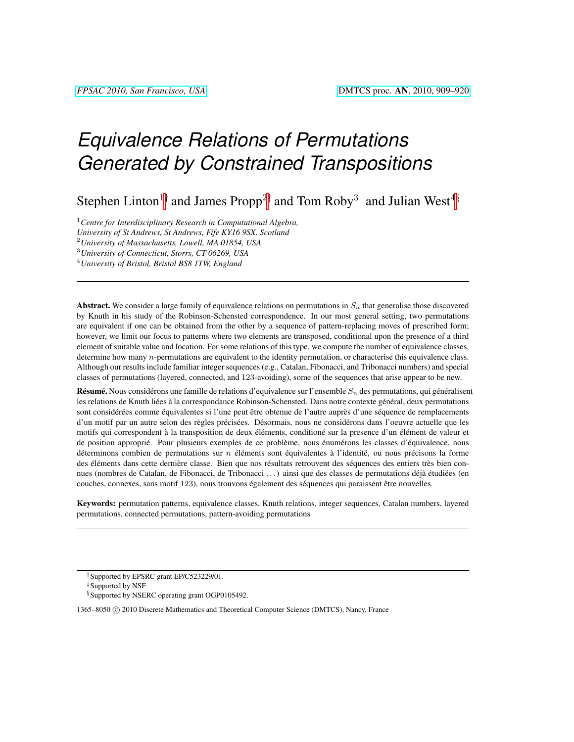# *Equivalence Relations of Permutations Generated by Constrained Transpositions*

Stephen Linton<sup>1†</sup> and James Propp<sup>2‡</sup> and Tom Roby<sup>3</sup> and Julian West<sup>4§</sup>

<sup>1</sup>*Centre for Interdisciplinary Research in Computational Algebra,*

*University of St Andrews, St Andrews, Fife KY16 9SX, Scotland*

<sup>2</sup>*University of Massachusetts, Lowell, MA 01854, USA*

<sup>3</sup>*University of Connecticut, Storrs, CT 06269, USA*

<sup>4</sup>*University of Bristol, Bristol BS8 1TW, England*

Abstract. We consider a large family of equivalence relations on permutations in  $S_n$  that generalise those discovered by Knuth in his study of the Robinson-Schensted correspondence. In our most general setting, two permutations are equivalent if one can be obtained from the other by a sequence of pattern-replacing moves of prescribed form; however, we limit our focus to patterns where two elements are transposed, conditional upon the presence of a third element of suitable value and location. For some relations of this type, we compute the number of equivalence classes, determine how many n-permutations are equivalent to the identity permutation, or characterise this equivalence class. Although our results include familiar integer sequences (e.g., Catalan, Fibonacci, and Tribonacci numbers) and special classes of permutations (layered, connected, and 123-avoiding), some of the sequences that arise appear to be new.

Résumé. Nous considérons une famille de relations d'equivalence sur l'ensemble  $S_n$  des permutations, qui généralisent les relations de Knuth liées à la correspondance Robinson-Schensted. Dans notre contexte général, deux permutations sont considérées comme équivalentes si l'une peut être obtenue de l'autre auprès d'une séquence de remplacements d'un motif par un autre selon des règles précisées. Désormais, nous ne considérons dans l'oeuvre actuelle que les motifs qui correspondent à la transposition de deux éléments, conditioné sur la presence d'un élément de valeur et de position approprié. Pour plusieurs exemples de ce problème, nous énumérons les classes d'équivalence, nous déterminons combien de permutations sur  $n$  éléments sont équivalentes à l'identité, ou nous précisons la forme des éléments dans cette dernière classe. Bien que nos résultats retrouvent des séquences des entiers très bien connues (nombres de Catalan, de Fibonacci, de Tribonacci ...) ainsi que des classes de permutations déjà étudiées (en couches, connexes, sans motif 123), nous trouvons également des séquences qui paraissent être nouvelles.

Keywords: permutation patterns, equivalence classes, Knuth relations, integer sequences, Catalan numbers, layered permutations, connected permutations, pattern-avoiding permutations

<sup>†</sup>Supported by EPSRC grant EP/C523229/01.

<sup>‡</sup>Supported by NSF

<sup>§</sup>Supported by NSERC operating grant OGP0105492.

<sup>1365–8050 © 2010</sup> Discrete Mathematics and Theoretical Computer Science (DMTCS), Nancy, France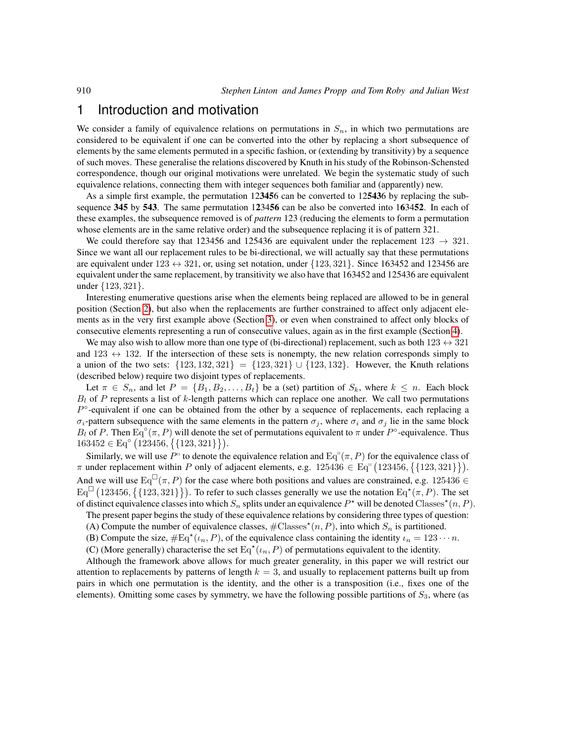#### 1 Introduction and motivation

We consider a family of equivalence relations on permutations in  $S_n$ , in which two permutations are considered to be equivalent if one can be converted into the other by replacing a short subsequence of elements by the same elements permuted in a specific fashion, or (extending by transitivity) by a sequence of such moves. These generalise the relations discovered by Knuth in his study of the Robinson-Schensted correspondence, though our original motivations were unrelated. We begin the systematic study of such equivalence relations, connecting them with integer sequences both familiar and (apparently) new.

As a simple first example, the permutation 123456 can be converted to 125436 by replacing the subsequence 345 by 543. The same permutation 123456 can be also be converted into 163452. In each of these examples, the subsequence removed is of *pattern* 123 (reducing the elements to form a permutation whose elements are in the same relative order) and the subsequence replacing it is of pattern 321.

We could therefore say that 123456 and 125436 are equivalent under the replacement  $123 \rightarrow 321$ . Since we want all our replacement rules to be bi-directional, we will actually say that these permutations are equivalent under  $123 \leftrightarrow 321$ , or, using set notation, under  $\{123, 321\}$ . Since 163452 and 123456 are equivalent under the same replacement, by transitivity we also have that 163452 and 125436 are equivalent under {123, 321}.

Interesting enumerative questions arise when the elements being replaced are allowed to be in general position (Section [2\)](#page-4-0), but also when the replacements are further constrained to affect only adjacent elements as in the very first example above (Section [3\)](#page-6-0), or even when constrained to affect only blocks of consecutive elements representing a run of consecutive values, again as in the first example (Section [4\)](#page-10-0).

We may also wish to allow more than one type of (bi-directional) replacement, such as both  $123 \leftrightarrow 321$ and  $123 \leftrightarrow 132$ . If the intersection of these sets is nonempty, the new relation corresponds simply to a union of the two sets:  $\{123, 132, 321\} = \{123, 321\} \cup \{123, 132\}$ . However, the Knuth relations (described below) require two disjoint types of replacements.

Let  $\pi \in S_n$ , and let  $P = \{B_1, B_2, \ldots, B_t\}$  be a (set) partition of  $S_k$ , where  $k \leq n$ . Each block  $B_l$  of P represents a list of k-length patterns which can replace one another. We call two permutations  $P<sup>o</sup>$ -equivalent if one can be obtained from the other by a sequence of replacements, each replacing a  $\sigma_i$ -pattern subsequence with the same elements in the pattern  $\sigma_j$ , where  $\sigma_i$  and  $\sigma_j$  lie in the same block  $B_l$  of P. Then  $\text{Eq}^{\circ}(\pi, P)$  will denote the set of permutations equivalent to  $\pi$  under  $P^{\circ}$ -equivalence. Thus  $163452 \in \text{Eq}^{\circ} (123456, \{123, 321\})$ .

Similarly, we will use  $P^{\prime\prime}$  to denote the equivalence relation and  $Eq^{\prime\prime}(\pi, P)$  for the equivalence class of  $\pi$  under replacement within P only of adjacent elements, e.g.  $125436 \in Eq^{1}(123456, \{123, 321\})$ . And we will use  $Eq^{\Box}(\pi, P)$  for the case where both positions and values are constrained, e.g. 125436  $\in$  $Eq^{\Box}$  (123456, {{123, 321}}). To refer to such classes generally we use the notation  $Eq^{\star}(\pi, P)$ . The set of distinct equivalence classes into which  $S_n$  splits under an equivalence  $P^*$  will be denoted Classes<sup>\*</sup> $(n, P)$ .

The present paper begins the study of these equivalence relations by considering three types of question:

- (A) Compute the number of equivalence classes,  $\#\text{Classes}^{\star}(n, P)$ , into which  $S_n$  is partitioned.
- (B) Compute the size,  $\#\text{Eq}^{\star}(\iota_n, P)$ , of the equivalence class containing the identity  $\iota_n = 123 \cdots n$ .
- (C) (More generally) characterise the set  $Eq^{\star}(\iota_n, P)$  of permutations equivalent to the identity.

Although the framework above allows for much greater generality, in this paper we will restrict our attention to replacements by patterns of length  $k = 3$ , and usually to replacement patterns built up from pairs in which one permutation is the identity, and the other is a transposition (i.e., fixes one of the elements). Omitting some cases by symmetry, we have the following possible partitions of  $S_3$ , where (as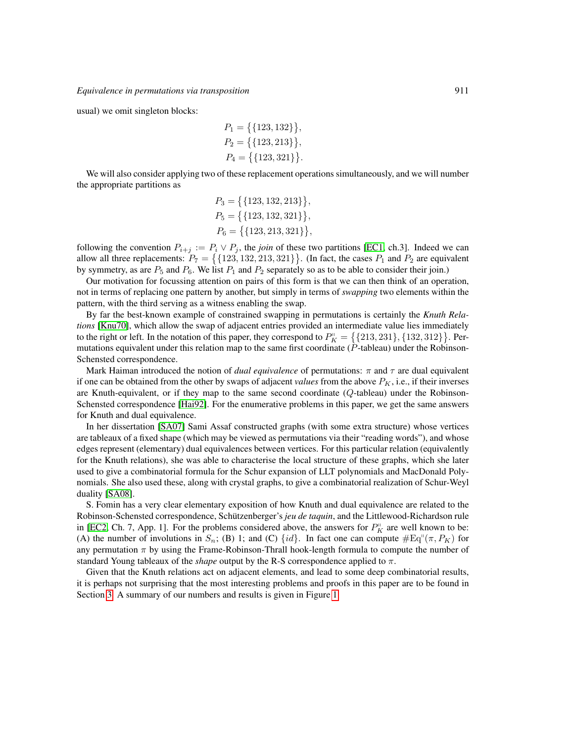usual) we omit singleton blocks:

$$
P_1 = \{ \{123, 132\} \},
$$
  
\n
$$
P_2 = \{ \{123, 213\} \},
$$
  
\n
$$
P_4 = \{ \{123, 321\} \}.
$$

We will also consider applying two of these replacement operations simultaneously, and we will number the appropriate partitions as

$$
P_3 = \{ \{123, 132, 213\} \},
$$
  
\n
$$
P_5 = \{ \{123, 132, 321\} \},
$$
  
\n
$$
P_6 = \{ \{123, 213, 321\} \},
$$

following the convention  $P_{i+j} := P_i \vee P_j$ , the *join* of these two partitions [\[EC1,](#page-11-0) ch.3]. Indeed we can allow all three replacements:  $P_7 = \{ \{123, 132, 213, 321\} \}$ . (In fact, the cases  $P_1$  and  $P_2$  are equivalent by symmetry, as are  $P_5$  and  $P_6$ . We list  $P_1$  and  $P_2$  separately so as to be able to consider their join.)

Our motivation for focussing attention on pairs of this form is that we can then think of an operation, not in terms of replacing one pattern by another, but simply in terms of *swapping* two elements within the pattern, with the third serving as a witness enabling the swap.

By far the best-known example of constrained swapping in permutations is certainly the *Knuth Relations* [\[Knu70\]](#page-11-1), which allow the swap of adjacent entries provided an intermediate value lies immediately to the right or left. In the notation of this paper, they correspond to  $P_K^{\parallel} = \{ \{213, 231\}, \{132, 312\} \}$ . Permutations equivalent under this relation map to the same first coordinate  $(P$ -tableau) under the Robinson-Schensted correspondence.

Mark Haiman introduced the notion of *dual equivalence* of permutations:  $\pi$  and  $\tau$  are dual equivalent if one can be obtained from the other by swaps of adjacent *values* from the above  $P_K$ , i.e., if their inverses are Knuth-equivalent, or if they map to the same second coordinate (Q-tableau) under the Robinson-Schensted correspondence [\[Hai92\]](#page-11-2). For the enumerative problems in this paper, we get the same answers for Knuth and dual equivalence.

In her dissertation [\[SA07\]](#page-11-3) Sami Assaf constructed graphs (with some extra structure) whose vertices are tableaux of a fixed shape (which may be viewed as permutations via their "reading words"), and whose edges represent (elementary) dual equivalences between vertices. For this particular relation (equivalently for the Knuth relations), she was able to characterise the local structure of these graphs, which she later used to give a combinatorial formula for the Schur expansion of LLT polynomials and MacDonald Polynomials. She also used these, along with crystal graphs, to give a combinatorial realization of Schur-Weyl duality [\[SA08\]](#page-11-4).

S. Fomin has a very clear elementary exposition of how Knuth and dual equivalence are related to the Robinson-Schensted correspondence, Schützenberger's *jeu de taquin*, and the Littlewood-Richardson rule in [\[EC2,](#page-11-5) Ch. 7, App. 1]. For the problems considered above, the answers for  $P_K^{\text{II}}$  are well known to be: (A) the number of involutions in  $S_n$ ; (B) 1; and (C) {id}. In fact one can compute  $#Eq^{(1)}(\pi, P_K)$  for any permutation  $\pi$  by using the Frame-Robinson-Thrall hook-length formula to compute the number of standard Young tableaux of the *shape* output by the R-S correspondence applied to π.

Given that the Knuth relations act on adjacent elements, and lead to some deep combinatorial results, it is perhaps not surprising that the most interesting problems and proofs in this paper are to be found in Section [3.](#page-6-0) A summary of our numbers and results is given in Figure [1.](#page-3-0)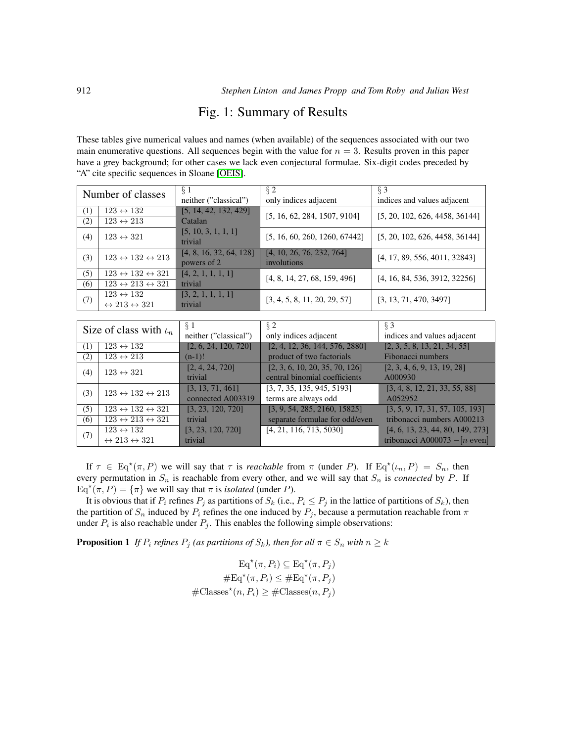#### Fig. 1: Summary of Results

<span id="page-3-0"></span>These tables give numerical values and names (when available) of the sequences associated with our two main enumerative questions. All sequences begin with the value for  $n = 3$ . Results proven in this paper have a grey background; for other cases we lack even conjectural formulae. Six-digit codes preceded by "A" cite specific sequences in Sloane [\[OEIS\]](#page-11-6).

| Number of classes |                                               | $\overline{\S 1}$<br>neither ("classical") | $\sqrt{2}$<br>only indices adjacent      | $\overline{\S 3}$<br>indices and values adjacent |
|-------------------|-----------------------------------------------|--------------------------------------------|------------------------------------------|--------------------------------------------------|
| (1)               | $123 \leftrightarrow 132$                     | [5, 14, 42, 132, 429]                      |                                          |                                                  |
| (2)               | $123 \leftrightarrow 213$                     | Catalan                                    | [5, 16, 62, 284, 1507, 9104]             | [5, 20, 102, 626, 4458, 36144]                   |
| (4)               | $123 \leftrightarrow 321$                     | [5, 10, 3, 1, 1, 1]<br>trivial             | [5, 16, 60, 260, 1260, 67442]            | [5, 20, 102, 626, 4458, 36144]                   |
| (3)               | $123 \leftrightarrow 132 \leftrightarrow 213$ | [4, 8, 16, 32, 64, 128]<br>powers of 2     | [4, 10, 26, 76, 232, 764]<br>involutions | [4, 17, 89, 556, 4011, 32843]                    |
| (5)               | $123 \leftrightarrow 132 \leftrightarrow 321$ | [4, 2, 1, 1, 1, 1]                         | [4, 8, 14, 27, 68, 159, 496]             | [4, 16, 84, 536, 3912, 32256]                    |
| (6)               | $123 \leftrightarrow 213 \leftrightarrow 321$ | trivial                                    |                                          |                                                  |
| (7)               | $123 \leftrightarrow 132$                     | [3, 2, 1, 1, 1, 1]                         | [3, 4, 5, 8, 11, 20, 29, 57]             | [3, 13, 71, 470, 3497]                           |
|                   | $\leftrightarrow$ 213 $\leftrightarrow$ 321   | trivial                                    |                                          |                                                  |
|                   |                                               |                                            |                                          |                                                  |
|                   |                                               |                                            |                                          |                                                  |
|                   |                                               | § 1                                        | $\S 2$                                   | $\S$ 3                                           |
|                   | Size of class with $\iota_n$                  | neither ("classical")                      | only indices adjacent                    | indices and values adjacent                      |
| (1)               | $123 \leftrightarrow 132$                     | [2, 6, 24, 120, 720]                       | [2, 4, 12, 36, 144, 576, 2880]           | [2, 3, 5, 8, 13, 21, 34, 55]                     |
| (2)               | $123 \leftrightarrow 213$                     | $(n-1)!$                                   | product of two factorials                | Fibonacci numbers                                |
|                   |                                               | [2, 4, 24, 720]                            | [2, 3, 6, 10, 20, 35, 70, 126]           | [2, 3, 4, 6, 9, 13, 19, 28]                      |
| (4)               | $123 \leftrightarrow 321$                     | trivial                                    | central binomial coefficients            | A000930                                          |
|                   |                                               | [3, 13, 71, 461]                           | [3, 7, 35, 135, 945, 5193]               | [3, 4, 8, 12, 21, 33, 55, 88]                    |
| (3)               | $123 \leftrightarrow 132 \leftrightarrow 213$ | connected A003319                          | terms are always odd                     | A052952                                          |
| (5)               | $123 \leftrightarrow 132 \leftrightarrow 321$ | [3, 23, 120, 720]                          | [3, 9, 54, 285, 2160, 15825]             | [3, 5, 9, 17, 31, 57, 105, 193]                  |
| (6)               | $123 \leftrightarrow 213 \leftrightarrow 321$ | trivial                                    | separate formulae for odd/even           | tribonacci numbers A000213                       |
| (7)               | $123 \leftrightarrow 132$                     | [3, 23, 120, 720]                          | [4, 21, 116, 713, 5030]                  | [4, 6, 13, 23, 44, 80, 149, 273]                 |

If  $\tau \in Eq^*(\pi, P)$  we will say that  $\tau$  is *reachable* from  $\pi$  (under P). If  $Eq^*(\iota_n, P) = S_n$ , then every permutation in  $S_n$  is reachable from every other, and we will say that  $S_n$  is *connected* by P. If  $Eq^{\star}(\pi, P) = {\pi}$  we will say that  $\pi$  is *isolated* (under P).

It is obvious that if  $P_i$  refines  $P_j$  as partitions of  $S_k$  (i.e.,  $P_i \leq P_j$  in the lattice of partitions of  $S_k$ ), then the partition of  $S_n$  induced by  $P_i$  refines the one induced by  $P_j$ , because a permutation reachable from  $\pi$ under  $P_i$  is also reachable under  $P_j$ . This enables the following simple observations:

<span id="page-3-1"></span>**Proposition 1** *If*  $P_i$  *refines*  $P_j$  *(as partitions of*  $S_k$ *), then for all*  $\pi \in S_n$  *with*  $n \geq k$ 

$$
\operatorname{Eq}^{\star}(\pi, P_i) \subseteq \operatorname{Eq}^{\star}(\pi, P_j)
$$

$$
\# \operatorname{Eq}^{\star}(\pi, P_i) \leq \# \operatorname{Eq}^{\star}(\pi, P_j)
$$

$$
\# \operatorname{Classes}^{\star}(n, P_i) \geq \# \operatorname{Classes}(n, P_j)
$$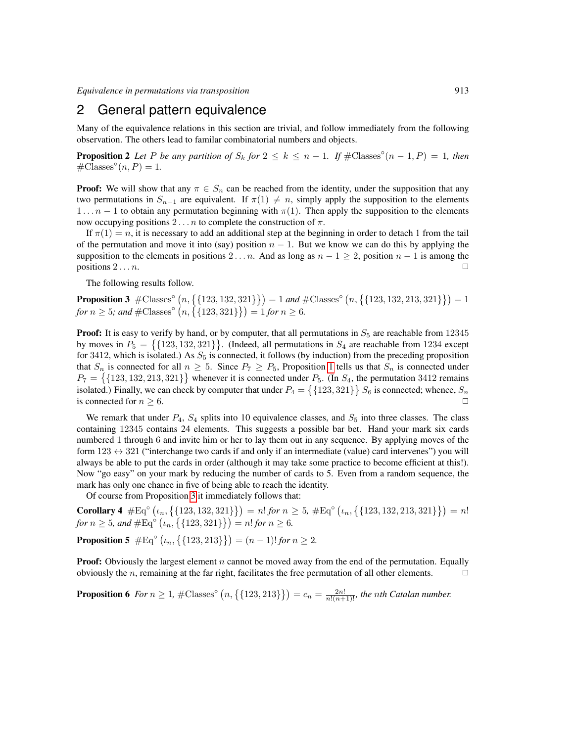*Equivalence in permutations via transposition* 913

#### <span id="page-4-0"></span>2 General pattern equivalence

Many of the equivalence relations in this section are trivial, and follow immediately from the following observation. The others lead to familar combinatorial numbers and objects.

**Proposition 2** Let P be any partition of  $S_k$  for  $2 \le k \le n - 1$ . If  $\#\text{Classes}^\circ(n-1, P) = 1$ , then  $\#\text{Classes}^\circ(n, P) = 1.$ 

**Proof:** We will show that any  $\pi \in S_n$  can be reached from the identity, under the supposition that any two permutations in  $S_{n-1}$  are equivalent. If  $\pi(1) \neq n$ , simply apply the supposition to the elements  $1 \ldots n - 1$  to obtain any permutation beginning with  $\pi(1)$ . Then apply the supposition to the elements now occupying positions  $2 \dots n$  to complete the construction of π.

If  $\pi(1) = n$ , it is necessary to add an additional step at the beginning in order to detach 1 from the tail of the permutation and move it into (say) position  $n - 1$ . But we know we can do this by applying the supposition to the elements in positions 2... *n*. And as long as  $n - 1 \ge 2$ , position  $n - 1$  is among the positions  $2 \ldots n$ .

The following results follow.

<span id="page-4-1"></span>**Proposition 3**  $\#\text{Classes}^{\circ}(n, \{\{123, 132, 321\}\}) = 1$  and  $\#\text{Classes}^{\circ}(n, \{\{123, 132, 213, 321\}\}) = 1$ *for*  $n \geq 5$ *;* and  $\#\text{Classes}^{\circ}(n, \{123, 321\}\}) = 1$  *for*  $n \geq 6$ *.* 

**Proof:** It is easy to verify by hand, or by computer, that all permutations in  $S_5$  are reachable from 12345 by moves in  $P_5 = \{123, 132, 321\}$ . (Indeed, all permutations in  $S_4$  are reachable from 1234 except for 3412, which is isolated.) As  $S_5$  is connected, it follows (by induction) from the preceding proposition that  $S_n$  is connected for all  $n \geq 5$ . Since  $P_7 \geq P_5$ , Proposition [1](#page-3-1) tells us that  $S_n$  is connected under  $P_7 = \{ \{123, 132, 213, 321\} \}$  whenever it is connected under  $P_5$ . (In  $S_4$ , the permutation 3412 remains isolated.) Finally, we can check by computer that under  $P_4 = \{123, 321\}$   $S_6$  is connected; whence,  $S_n$ is connected for  $n \geq 6$ .

We remark that under  $P_4$ ,  $S_4$  splits into 10 equivalence classes, and  $S_5$  into three classes. The class containing 12345 contains 24 elements. This suggests a possible bar bet. Hand your mark six cards numbered 1 through 6 and invite him or her to lay them out in any sequence. By applying moves of the form  $123 \leftrightarrow 321$  ("interchange two cards if and only if an intermediate (value) card intervenes") you will always be able to put the cards in order (although it may take some practice to become efficient at this!). Now "go easy" on your mark by reducing the number of cards to 5. Even from a random sequence, the mark has only one chance in five of being able to reach the identity.

Of course from Proposition [3](#page-4-1) it immediately follows that:

**Corollary 4**  $\#\text{Eq}^{\circ} (\iota_n, \{ \{123, 132, 321\} \}) = n! \text{ for } n \geq 5, \#\text{Eq}^{\circ} (\iota_n, \{ \{123, 132, 213, 321\} \}) = n!$ *for*  $n \geq 5$ *, and*  $\#\text{Eq}^{\circ} (\iota_n, \{ \{ 123, 321\} \}) = n!$  *for*  $n \geq 6$ *.* **Proposition 5**  $\#\text{Eq}^{\circ} (\iota_n, \{ \{123, 213\} \}) = (n-1)! \text{ for } n \geq 2.$ 

**Proof:** Obviously the largest element  $n$  cannot be moved away from the end of the permutation. Equally obviously the *n*, remaining at the far right, facilitates the free permutation of all other elements.  $\Box$ 

<span id="page-4-2"></span>**Proposition 6** For  $n \geq 1$ ,  $\#\text{Classes}^{\circ}(n, \{\{123, 213\}\}) = c_n = \frac{2n!}{n!(n+1)!}$ , the nth Catalan number.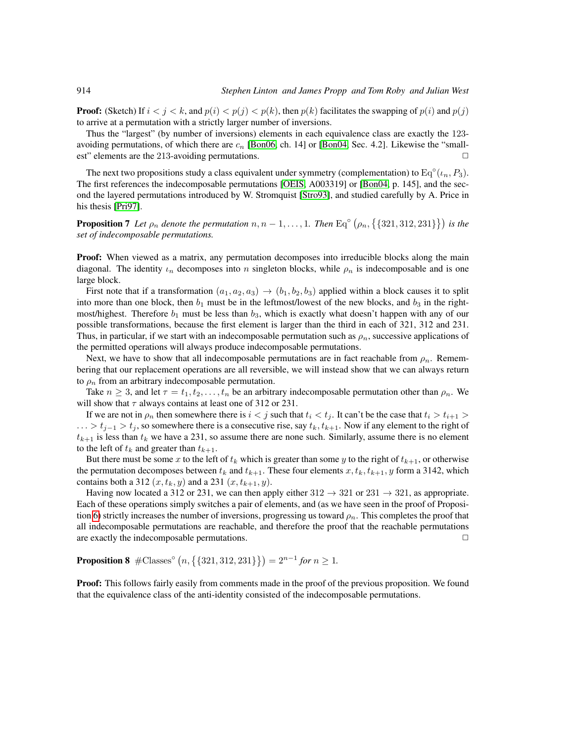**Proof:** (Sketch) If  $i < j < k$ , and  $p(i) < p(j) < p(k)$ , then  $p(k)$  facilitates the swapping of  $p(i)$  and  $p(j)$ to arrive at a permutation with a strictly larger number of inversions.

Thus the "largest" (by number of inversions) elements in each equivalence class are exactly the 123 avoiding permutations, of which there are  $c_n$  [\[Bon06,](#page-11-7) ch. 14] or [\[Bon04,](#page-11-8) Sec. 4.2]. Likewise the "smallest" elements are the 213-avoiding permutations.  $\Box$ 

The next two propositions study a class equivalent under symmetry (complementation) to  $\text{Eq}^{\circ}(\iota_n, P_3)$ . The first references the indecomposable permutations [\[OEIS,](#page-11-6) A003319] or [\[Bon04,](#page-11-8) p. 145], and the second the layered permutations introduced by W. Stromquist [\[Stro93\]](#page-11-9), and studied carefully by A. Price in his thesis [\[Pri97\]](#page-11-10).

**Proposition 7** Let  $\rho_n$  denote the permutation  $n, n-1, \ldots, 1$ . Then  $\text{Eq}^{\circ}(\rho_n, \{321, 312, 231\})$  is the *set of indecomposable permutations.*

Proof: When viewed as a matrix, any permutation decomposes into irreducible blocks along the main diagonal. The identity  $\iota_n$  decomposes into n singleton blocks, while  $\rho_n$  is indecomposable and is one large block.

First note that if a transformation  $(a_1, a_2, a_3) \rightarrow (b_1, b_2, b_3)$  applied within a block causes it to split into more than one block, then  $b_1$  must be in the leftmost/lowest of the new blocks, and  $b_3$  in the rightmost/highest. Therefore  $b_1$  must be less than  $b_3$ , which is exactly what doesn't happen with any of our possible transformations, because the first element is larger than the third in each of 321, 312 and 231. Thus, in particular, if we start with an indecomposable permutation such as  $\rho_n$ , successive applications of the permitted operations will always produce indecomposable permutations.

Next, we have to show that all indecomposable permutations are in fact reachable from  $\rho_n$ . Remembering that our replacement operations are all reversible, we will instead show that we can always return to  $\rho_n$  from an arbitrary indecomposable permutation.

Take  $n \geq 3$ , and let  $\tau = t_1, t_2, \ldots, t_n$  be an arbitrary indecomposable permutation other than  $\rho_n$ . We will show that  $\tau$  always contains at least one of 312 or 231.

If we are not in  $\rho_n$  then somewhere there is  $i < j$  such that  $t_i < t_j$ . It can't be the case that  $t_i > t_{i+1}$  $\dots > t_{j-1} > t_j$ , so somewhere there is a consecutive rise, say  $t_k, t_{k+1}$ . Now if any element to the right of  $t_{k+1}$  is less than  $t_k$  we have a 231, so assume there are none such. Similarly, assume there is no element to the left of  $t_k$  and greater than  $t_{k+1}$ .

But there must be some x to the left of  $t_k$  which is greater than some y to the right of  $t_{k+1}$ , or otherwise the permutation decomposes between  $t_k$  and  $t_{k+1}$ . These four elements  $x, t_k, t_{k+1}$ , y form a 3142, which contains both a 312  $(x, t_k, y)$  and a 231  $(x, t_{k+1}, y)$ .

Having now located a 312 or 231, we can then apply either  $312 \rightarrow 321$  or  $231 \rightarrow 321$ , as appropriate. Each of these operations simply switches a pair of elements, and (as we have seen in the proof of Proposi-tion [6\)](#page-4-2) strictly increases the number of inversions, progressing us toward  $\rho_n$ . This completes the proof that all indecomposable permutations are reachable, and therefore the proof that the reachable permutations are exactly the indecomposable permutations.  $\Box$ 

**Proposition 8**  $\#\text{Classes}^{\circ}(n, \{321, 312, 231\}\}) = 2^{n-1}$  for  $n \geq 1$ .

**Proof:** This follows fairly easily from comments made in the proof of the previous proposition. We found that the equivalence class of the anti-identity consisted of the indecomposable permutations.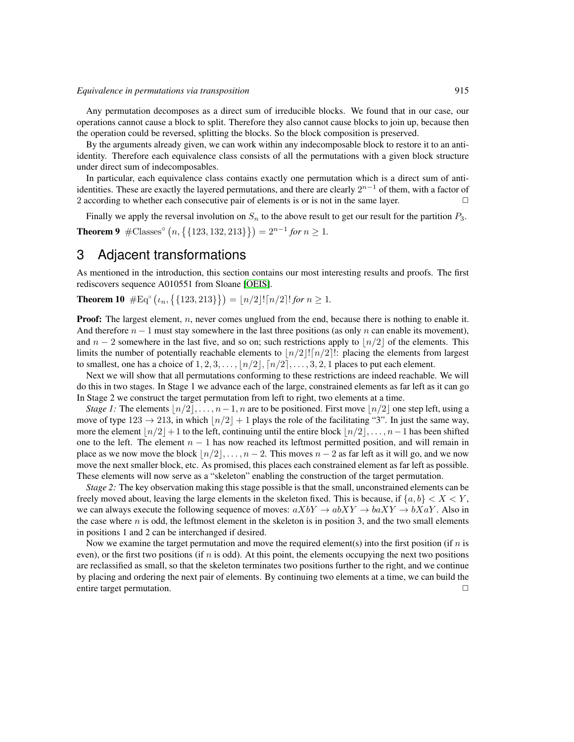Any permutation decomposes as a direct sum of irreducible blocks. We found that in our case, our operations cannot cause a block to split. Therefore they also cannot cause blocks to join up, because then the operation could be reversed, splitting the blocks. So the block composition is preserved.

By the arguments already given, we can work within any indecomposable block to restore it to an antiidentity. Therefore each equivalence class consists of all the permutations with a given block structure under direct sum of indecomposables.

In particular, each equivalence class contains exactly one permutation which is a direct sum of antiidentities. These are exactly the layered permutations, and there are clearly  $2^{n-1}$  of them, with a factor of 2 according to whether each consecutive pair of elements is or is not in the same layer.  $\Box$ 

Finally we apply the reversal involution on  $S_n$  to the above result to get our result for the partition  $P_3$ . **Theorem 9**  $\# \text{Classes}^{\circ} (n, \{ \{123, 132, 213\} \}) = 2^{n-1}$  for  $n \geq 1$ .

#### <span id="page-6-0"></span>3 Adjacent transformations

As mentioned in the introduction, this section contains our most interesting results and proofs. The first rediscovers sequence A010551 from Sloane [\[OEIS\]](#page-11-6).

**Theorem 10**  $\#\text{Eq}^{\text{II}}\left(\iota_n, \{\{123, 213\}\}\right) = \lfloor n/2 \rfloor ! \lceil n/2 \rceil ! \text{ for } n \geq 1.$ 

**Proof:** The largest element,  $n$ , never comes unglued from the end, because there is nothing to enable it. And therefore  $n-1$  must stay somewhere in the last three positions (as only n can enable its movement), and  $n-2$  somewhere in the last five, and so on; such restrictions apply to  $\lfloor n/2 \rfloor$  of the elements. This limits the number of potentially reachable elements to  $\lfloor n/2 \rfloor \lfloor n/2 \rfloor$ : placing the elements from largest to smallest, one has a choice of  $1, 2, 3, \ldots, \lfloor n/2 \rfloor, \lceil n/2 \rceil, \ldots, 3, 2, 1$  places to put each element.

Next we will show that all permutations conforming to these restrictions are indeed reachable. We will do this in two stages. In Stage 1 we advance each of the large, constrained elements as far left as it can go In Stage 2 we construct the target permutation from left to right, two elements at a time.

*Stage 1:* The elements  $\lfloor n/2 \rfloor, \ldots, n-1, n$  are to be positioned. First move  $\lfloor n/2 \rfloor$  one step left, using a move of type  $123 \rightarrow 213$ , in which  $\lfloor n/2 \rfloor + 1$  plays the role of the facilitating "3". In just the same way, more the element  $\lfloor n/2 \rfloor + 1$  to the left, continuing until the entire block  $\lfloor n/2 \rfloor, \ldots, n-1$  has been shifted one to the left. The element  $n - 1$  has now reached its leftmost permitted position, and will remain in place as we now move the block  $\lfloor n/2 \rfloor, \ldots, n - 2$ . This moves  $n - 2$  as far left as it will go, and we now move the next smaller block, etc. As promised, this places each constrained element as far left as possible. These elements will now serve as a "skeleton" enabling the construction of the target permutation.

*Stage 2:* The key observation making this stage possible is that the small, unconstrained elements can be freely moved about, leaving the large elements in the skeleton fixed. This is because, if  $\{a, b\} < X < Y$ , we can always execute the following sequence of moves:  $aXbY \rightarrow abXY \rightarrow baXY \rightarrow bXaY$ . Also in the case where  $n$  is odd, the leftmost element in the skeleton is in position 3, and the two small elements in positions 1 and 2 can be interchanged if desired.

Now we examine the target permutation and move the required element(s) into the first position (if  $n$  is even), or the first two positions (if  $n$  is odd). At this point, the elements occupying the next two positions are reclassified as small, so that the skeleton terminates two positions further to the right, and we continue by placing and ordering the next pair of elements. By continuing two elements at a time, we can build the entire target permutation.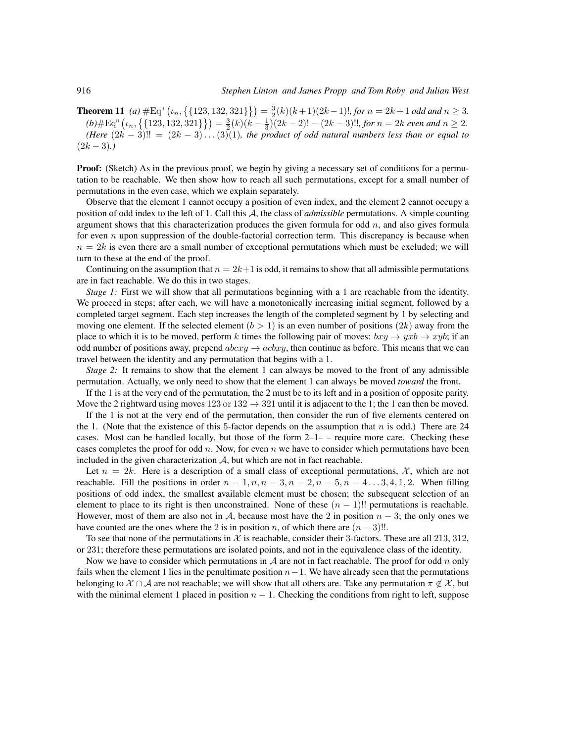**Theorem 11** (a)  $\#\text{Eq}^{\text{II}}\left(\iota_n, \{\{123, 132, 321\}\}\right) = \frac{3}{2}(k)(k+1)(2k-1)!$ , for  $n = 2k+1$  odd and  $n \geq 3$ .  $(b)$ #Eq"  $\left(\iota_n, \left\{\{123, 132, 321\}\right\}\right) = \frac{3}{2}(k)(k - \frac{1}{3})(2k - 2)! - (2k - 3)!!$ *, for*  $n = 2k$  *even and*  $n \geq 2$ *. (Here*  $(2k-3)!! = (2k-3)...(3)(1)$ *, the product of odd natural numbers less than or equal to*  $(2k-3)$ .

**Proof:** (Sketch) As in the previous proof, we begin by giving a necessary set of conditions for a permutation to be reachable. We then show how to reach all such permutations, except for a small number of permutations in the even case, which we explain separately.

Observe that the element 1 cannot occupy a position of even index, and the element 2 cannot occupy a position of odd index to the left of 1. Call this A, the class of *admissible* permutations. A simple counting argument shows that this characterization produces the given formula for odd  $n$ , and also gives formula for even  $n$  upon suppression of the double-factorial correction term. This discrepancy is because when  $n = 2k$  is even there are a small number of exceptional permutations which must be excluded; we will turn to these at the end of the proof.

Continuing on the assumption that  $n = 2k+1$  is odd, it remains to show that all admissible permutations are in fact reachable. We do this in two stages.

*Stage 1:* First we will show that all permutations beginning with a 1 are reachable from the identity. We proceed in steps; after each, we will have a monotonically increasing initial segment, followed by a completed target segment. Each step increases the length of the completed segment by 1 by selecting and moving one element. If the selected element  $(b > 1)$  is an even number of positions  $(2k)$  away from the place to which it is to be moved, perform k times the following pair of moves:  $bxy \rightarrow yxb \rightarrow xyb$ ; if an odd number of positions away, prepend  $abcxy \rightarrow acbxy$ , then continue as before. This means that we can travel between the identity and any permutation that begins with a 1.

*Stage 2:* It remains to show that the element 1 can always be moved to the front of any admissible permutation. Actually, we only need to show that the element 1 can always be moved *toward* the front.

If the 1 is at the very end of the permutation, the 2 must be to its left and in a position of opposite parity. Move the 2 rightward using moves  $123 \text{ or } 132 \rightarrow 321$  until it is adjacent to the 1; the 1 can then be moved.

If the 1 is not at the very end of the permutation, then consider the run of five elements centered on the 1. (Note that the existence of this 5-factor depends on the assumption that  $n$  is odd.) There are 24 cases. Most can be handled locally, but those of the form  $2-1-$  – require more care. Checking these cases completes the proof for odd n. Now, for even n we have to consider which permutations have been included in the given characterization  $A$ , but which are not in fact reachable.

Let  $n = 2k$ . Here is a description of a small class of exceptional permutations, X, which are not reachable. Fill the positions in order  $n-1$ ,  $n, n-3, n-2, n-5, n-4...3, 4, 1, 2$ . When filling positions of odd index, the smallest available element must be chosen; the subsequent selection of an element to place to its right is then unconstrained. None of these  $(n - 1)!!$  permutations is reachable. However, most of them are also not in A, because most have the 2 in position  $n-3$ ; the only ones we have counted are the ones where the 2 is in position n, of which there are  $(n-3)!!$ .

To see that none of the permutations in X is reachable, consider their 3-factors. These are all 213, 312, or 231; therefore these permutations are isolated points, and not in the equivalence class of the identity.

Now we have to consider which permutations in  $A$  are not in fact reachable. The proof for odd n only fails when the element 1 lies in the penultimate position  $n-1$ . We have already seen that the permutations belonging to  $X \cap A$  are not reachable; we will show that all others are. Take any permutation  $\pi \notin X$ , but with the minimal element 1 placed in position  $n - 1$ . Checking the conditions from right to left, suppose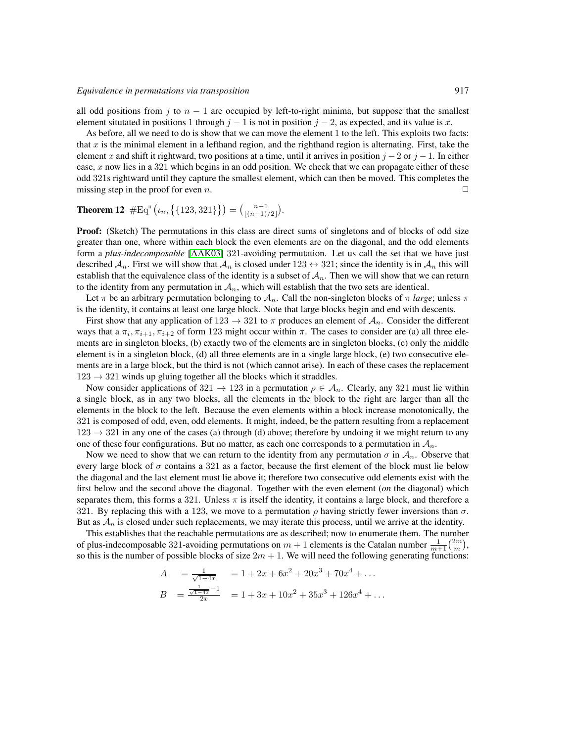all odd positions from j to  $n - 1$  are occupied by left-to-right minima, but suppose that the smallest element situtated in positions 1 through  $j - 1$  is not in position  $j - 2$ , as expected, and its value is x.

As before, all we need to do is show that we can move the element 1 to the left. This exploits two facts: that  $x$  is the minimal element in a lefthand region, and the righthand region is alternating. First, take the element x and shift it rightward, two positions at a time, until it arrives in position  $j - 2$  or  $j - 1$ . In either case, x now lies in a 321 which begins in an odd position. We check that we can propagate either of these odd 321s rightward until they capture the smallest element, which can then be moved. This completes the missing step in the proof for even n.  $\Box$ 

## **Theorem 12**  $\#Eq^{n} (\iota_n, \{ \{123, 321\} \}) = {n-1 \choose \lfloor (n-1)/2 \rfloor}.$

Proof: (Sketch) The permutations in this class are direct sums of singletons and of blocks of odd size greater than one, where within each block the even elements are on the diagonal, and the odd elements form a *plus-indecomposable* [\[AAK03\]](#page-11-11) 321-avoiding permutation. Let us call the set that we have just described  $A_n$ . First we will show that  $A_n$  is closed under 123  $\leftrightarrow$  321; since the identity is in  $A_n$  this will establish that the equivalence class of the identity is a subset of  $A_n$ . Then we will show that we can return to the identity from any permutation in  $A_n$ , which will establish that the two sets are identical.

Let  $\pi$  be an arbitrary permutation belonging to  $\mathcal{A}_n$ . Call the non-singleton blocks of  $\pi$  *large*; unless  $\pi$ is the identity, it contains at least one large block. Note that large blocks begin and end with descents.

First show that any application of  $123 \rightarrow 321$  to  $\pi$  produces an element of  $\mathcal{A}_n$ . Consider the different ways that a  $\pi_i$ ,  $\pi_{i+1}$ ,  $\pi_{i+2}$  of form 123 might occur within  $\pi$ . The cases to consider are (a) all three elements are in singleton blocks, (b) exactly two of the elements are in singleton blocks, (c) only the middle element is in a singleton block, (d) all three elements are in a single large block, (e) two consecutive elements are in a large block, but the third is not (which cannot arise). In each of these cases the replacement  $123 \rightarrow 321$  winds up gluing together all the blocks which it straddles.

Now consider applications of 321  $\rightarrow$  123 in a permutation  $\rho \in A_n$ . Clearly, any 321 must lie within a single block, as in any two blocks, all the elements in the block to the right are larger than all the elements in the block to the left. Because the even elements within a block increase monotonically, the 321 is composed of odd, even, odd elements. It might, indeed, be the pattern resulting from a replacement  $123 \rightarrow 321$  in any one of the cases (a) through (d) above; therefore by undoing it we might return to any one of these four configurations. But no matter, as each one corresponds to a permutation in  $A_n$ .

Now we need to show that we can return to the identity from any permutation  $\sigma$  in  $\mathcal{A}_n$ . Observe that every large block of  $\sigma$  contains a 321 as a factor, because the first element of the block must lie below the diagonal and the last element must lie above it; therefore two consecutive odd elements exist with the first below and the second above the diagonal. Together with the even element (*on* the diagonal) which separates them, this forms a 321. Unless  $\pi$  is itself the identity, it contains a large block, and therefore a 321. By replacing this with a 123, we move to a permutation  $\rho$  having strictly fewer inversions than  $\sigma$ . But as  $A_n$  is closed under such replacements, we may iterate this process, until we arrive at the identity.

This establishes that the reachable permutations are as described; now to enumerate them. The number of plus-indecomposable 321-avoiding permutations on  $m + 1$  elements is the Catalan number  $\frac{1}{m+1} {2m \choose m}$ , so this is the number of possible blocks of size  $2m + 1$ . We will need the following generating functions:

$$
A = \frac{1}{\sqrt{1-4x}} = 1 + 2x + 6x^{2} + 20x^{3} + 70x^{4} + \dots
$$
  
\n
$$
B = \frac{\frac{1}{\sqrt{1-4x}} - 1}{2x} = 1 + 3x + 10x^{2} + 35x^{3} + 126x^{4} + \dots
$$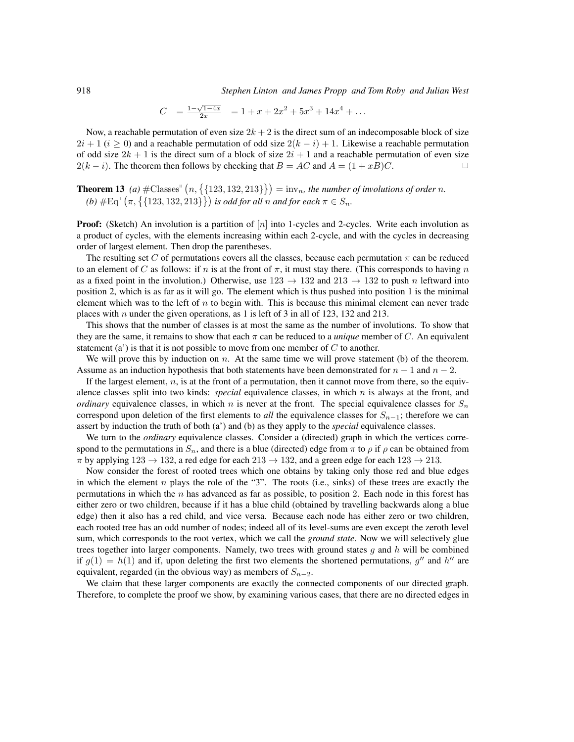918 *Stephen Linton and James Propp and Tom Roby and Julian West*

$$
C = \frac{1 - \sqrt{1 - 4x}}{2x} = 1 + x + 2x^2 + 5x^3 + 14x^4 + \dots
$$

Now, a reachable permutation of even size  $2k + 2$  is the direct sum of an indecomposable block of size  $2i + 1$  ( $i \ge 0$ ) and a reachable permutation of odd size  $2(k - i) + 1$ . Likewise a reachable permutation of odd size  $2k + 1$  is the direct sum of a block of size  $2i + 1$  and a reachable permutation of even size  $2(k - i)$ . The theorem then follows by checking that  $B = AC$  and  $A = (1 + xB)C$ .

**Theorem 13** (a)  $\#\text{Classes}^{\text{II}}\left(n, \left\{\{123, 132, 213\}\right\}\right) = \text{inv}_n$ , the number of involutions of order n.  $(a)$   $#Eq'' (\pi, \{123, 132, 213\})$  *is odd for all* n *and for each*  $\pi \in S_n$ .

**Proof:** (Sketch) An involution is a partition of |n| into 1-cycles and 2-cycles. Write each involution as a product of cycles, with the elements increasing within each 2-cycle, and with the cycles in decreasing order of largest element. Then drop the parentheses.

The resulting set C of permutations covers all the classes, because each permutation  $\pi$  can be reduced to an element of C as follows: if n is at the front of  $\pi$ , it must stay there. (This corresponds to having n as a fixed point in the involution.) Otherwise, use  $123 \rightarrow 132$  and  $213 \rightarrow 132$  to push n leftward into position 2, which is as far as it will go. The element which is thus pushed into position 1 is the minimal element which was to the left of  $n$  to begin with. This is because this minimal element can never trade places with *n* under the given operations, as 1 is left of 3 in all of 123, 132 and 213.

This shows that the number of classes is at most the same as the number of involutions. To show that they are the same, it remains to show that each  $\pi$  can be reduced to a *unique* member of C. An equivalent statement (a') is that it is not possible to move from one member of  $C$  to another.

We will prove this by induction on  $n$ . At the same time we will prove statement (b) of the theorem. Assume as an induction hypothesis that both statements have been demonstrated for  $n - 1$  and  $n - 2$ .

If the largest element,  $n$ , is at the front of a permutation, then it cannot move from there, so the equivalence classes split into two kinds: *special* equivalence classes, in which n is always at the front, and *ordinary* equivalence classes, in which n is never at the front. The special equivalence classes for  $S_n$ correspond upon deletion of the first elements to *all* the equivalence classes for  $S_{n-1}$ ; therefore we can assert by induction the truth of both (a') and (b) as they apply to the *special* equivalence classes.

We turn to the *ordinary* equivalence classes. Consider a (directed) graph in which the vertices correspond to the permutations in  $S_n$ , and there is a blue (directed) edge from  $\pi$  to  $\rho$  if  $\rho$  can be obtained from  $\pi$  by applying  $123 \rightarrow 132$ , a red edge for each  $213 \rightarrow 132$ , and a green edge for each  $123 \rightarrow 213$ .

Now consider the forest of rooted trees which one obtains by taking only those red and blue edges in which the element  $n$  plays the role of the "3". The roots (i.e., sinks) of these trees are exactly the permutations in which the  $n$  has advanced as far as possible, to position 2. Each node in this forest has either zero or two children, because if it has a blue child (obtained by travelling backwards along a blue edge) then it also has a red child, and vice versa. Because each node has either zero or two children, each rooted tree has an odd number of nodes; indeed all of its level-sums are even except the zeroth level sum, which corresponds to the root vertex, which we call the *ground state*. Now we will selectively glue trees together into larger components. Namely, two trees with ground states  $g$  and  $h$  will be combined if  $g(1) = h(1)$  and if, upon deleting the first two elements the shortened permutations, g'' and h'' are equivalent, regarded (in the obvious way) as members of  $S_{n-2}$ .

We claim that these larger components are exactly the connected components of our directed graph. Therefore, to complete the proof we show, by examining various cases, that there are no directed edges in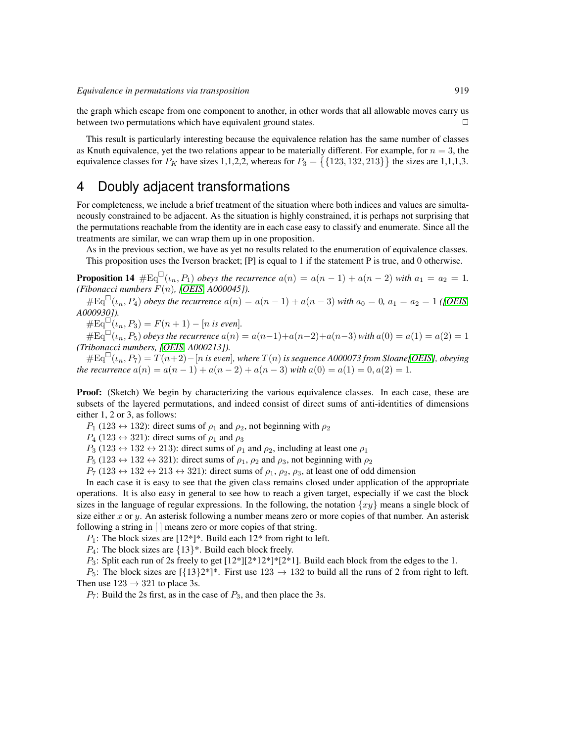the graph which escape from one component to another, in other words that all allowable moves carry us between two permutations which have equivalent ground states.  $\Box$ 

This result is particularly interesting because the equivalence relation has the same number of classes as Knuth equivalence, yet the two relations appear to be materially different. For example, for  $n = 3$ , the equivalence classes for  $P_K$  have sizes 1,1,2,2, whereas for  $P_3 = \{123, 132, 213\}$  the sizes are 1,1,1,3.

### <span id="page-10-0"></span>4 Doubly adjacent transformations

For completeness, we include a brief treatment of the situation where both indices and values are simultaneously constrained to be adjacent. As the situation is highly constrained, it is perhaps not surprising that the permutations reachable from the identity are in each case easy to classify and enumerate. Since all the treatments are similar, we can wrap them up in one proposition.

As in the previous section, we have as yet no results related to the enumeration of equivalence classes. This proposition uses the Iverson bracket; [P] is equal to 1 if the statement P is true, and 0 otherwise.

**Proposition 14**  $\#Eq^{\Box}(i_n, P_1)$  *obeys the recurrence*  $a(n) = a(n-1) + a(n-2)$  *with*  $a_1 = a_2 = 1$ *. (Fibonacci numbers* F(n)*, [\[OEIS,](#page-11-6) A000045]).*

 $\#Eq^{\Box}(\iota_n, P_4)$  *obeys the recurrence*  $a(n) = a(n-1) + a(n-3)$  *with*  $a_0 = 0$ ,  $a_1 = a_2 = 1$  *([OEIS, A000930]).*

 $\#Eq^{\square}(t_n, P_3) = F(n+1) - [n \text{ is even}].$ 

 $#Eq<sup>□</sup>(\iota_n, P_5)$  *obeys the recurrence*  $a(n) = a(n-1)+a(n-2)+a(n-3)$  *with*  $a(0) = a(1) = a(2) = 1$ *(Tribonacci numbers, [\[OEIS,](#page-11-6) A000213]).*

 $#Eq<sup>II</sup>(\iota_n, P_7) = T(n+2) - [n \text{ is even}],$  where  $T(n)$  is sequence A000073 from Sloane[\[OEIS\]](#page-11-6), obeying *the recurrence*  $a(n) = a(n-1) + a(n-2) + a(n-3)$  *with*  $a(0) = a(1) = 0, a(2) = 1$ .

Proof: (Sketch) We begin by characterizing the various equivalence classes. In each case, these are subsets of the layered permutations, and indeed consist of direct sums of anti-identities of dimensions either 1, 2 or 3, as follows:

 $P_1$  (123  $\leftrightarrow$  132): direct sums of  $\rho_1$  and  $\rho_2$ , not beginning with  $\rho_2$ 

 $P_4$  (123  $\leftrightarrow$  321): direct sums of  $\rho_1$  and  $\rho_3$ 

 $P_3$  (123  $\leftrightarrow$  132  $\leftrightarrow$  213): direct sums of  $\rho_1$  and  $\rho_2$ , including at least one  $\rho_1$ 

 $P_5$  (123  $\leftrightarrow$  132  $\leftrightarrow$  321): direct sums of  $\rho_1$ ,  $\rho_2$  and  $\rho_3$ , not beginning with  $\rho_2$ 

 $P_7$  (123  $\leftrightarrow$  132  $\leftrightarrow$  213  $\leftrightarrow$  321): direct sums of  $\rho_1$ ,  $\rho_2$ ,  $\rho_3$ , at least one of odd dimension

In each case it is easy to see that the given class remains closed under application of the appropriate operations. It is also easy in general to see how to reach a given target, especially if we cast the block sizes in the language of regular expressions. In the following, the notation  $\{xy\}$  means a single block of size either x or y. An asterisk following a number means zero or more copies of that number. An asterisk following a string in  $\vert \vert$  means zero or more copies of that string.

 $P_1$ : The block sizes are [12\*]\*. Build each 12\* from right to left.

 $P_4$ : The block sizes are  $\{13\}^*$ . Build each block freely.

 $P_3$ : Split each run of 2s freely to get  $[12^*][2^*12^*]^*$ [2\*1]. Build each block from the edges to the 1.

 $P_5$ : The block sizes are  $\left[\{13\}2^*\right]^*$ . First use 123  $\rightarrow$  132 to build all the runs of 2 from right to left. Then use  $123 \rightarrow 321$  to place 3s.

 $P_7$ : Build the 2s first, as in the case of  $P_3$ , and then place the 3s.